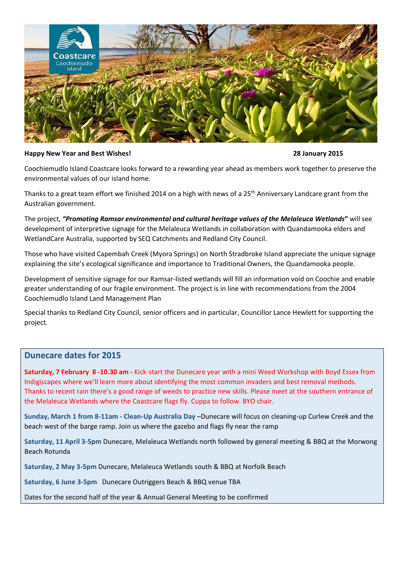

#### **Happy New Year and Best Wishes! 28 January 2015**

Coochiemudlo Island Coastcare looks forward to a rewarding year ahead as members work together to preserve the environmental values of our island home.

Thanks to a great team effort we finished 2014 on a high with news of a  $25<sup>th</sup>$  Anniversary Landcare grant from the Australian government.

The project, *"Promoting Ramsar environmental and cultural heritage values of the Melaleuca Wetlands***"** will see development of interpretive signage for the Melaleuca Wetlands in collaboration with Quandamooka elders and WetlandCare Australia, supported by SEQ Catchments and Redland City Council.

Those who have visited Capembah Creek (Myora Springs) on North Stradbroke Island appreciate the unique signage explaining the site's ecological significance and importance to Traditional Owners, the Quandamooka people.

Development of sensitive signage for our Ramsar-listed wetlands will fill an information void on Coochie and enable greater understanding of our fragile environment. The project is in line with recommendations from the 2004 Coochiemudlo Island Land Management Plan

Special thanks to Redland City Council, senior officers and in particular, Councillor Lance Hewlett for supporting the project.

### **Dunecare dates for 2015**

**Saturday, 7 February 8 -10.30 am -** Kick-start the Dunecare year with a mini Weed Workshop with Boyd Essex from Indigiscapes where we'll learn more about identifying the most common invaders and best removal methods. Thanks to recent rain there's a good range of weeds to practice new skills. Please meet at the southern entrance of the Melaleuca Wetlands where the Coastcare flags fly. Cuppa to follow. BYO chair.

**Sunday, March 1 from 8-11am - Clean-Up Australia Day** –Dunecare will focus on cleaning-up Curlew Creek and the beach west of the barge ramp. Join us where the gazebo and flags fly near the ramp

**Saturday, 11 April 3-5pm** Dunecare, Melaleuca Wetlands north followed by general meeting & BBQ at the Morwong Beach Rotunda

**Saturday, 2 May 3-5pm** Dunecare, Melaleuca Wetlands south & BBQ at Norfolk Beach

**Saturday, 6 June 3-5pm** Dunecare Outriggers Beach & BBQ venue TBA

Dates for the second half of the year & Annual General Meeting to be confirmed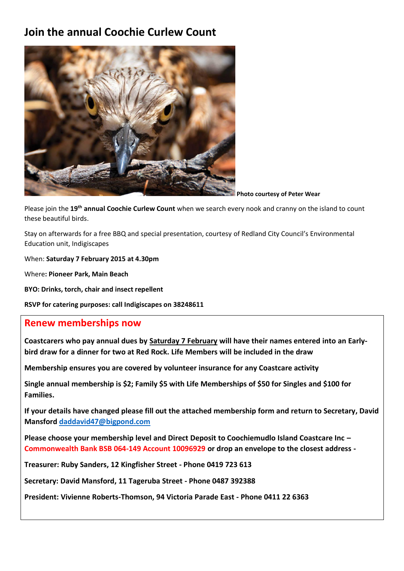# **Join the annual Coochie Curlew Count**



**Photo courtesy of Peter Wear**

Please join the **19th annual Coochie Curlew Count** when we search every nook and cranny on the island to count these beautiful birds.

Stay on afterwards for a free BBQ and special presentation, courtesy of Redland City Council's Environmental Education unit, Indigiscapes

When: **Saturday 7 February 2015 at 4.30pm**

Where**: Pioneer Park, Main Beach**

**BYO: Drinks, torch, chair and insect repellent**

**RSVP for catering purposes: call Indigiscapes on 38248611**

## **Renew memberships now**

**Coastcarers who pay annual dues by Saturday 7 February will have their names entered into an Earlybird draw for a dinner for two at Red Rock. Life Members will be included in the draw**

**Membership ensures you are covered by volunteer insurance for any Coastcare activity**

**Single annual membership is \$2; Family \$5 with Life Memberships of \$50 for Singles and \$100 for Families.**

**If your details have changed please fill out the attached membership form and return to Secretary, David Mansford [daddavid47@bigpond.com](mailto:daddavid47@bigpond.com)**

**Please choose your membership level and Direct Deposit to Coochiemudlo Island Coastcare Inc – Commonwealth Bank BSB 064-149 Account 10096929 or drop an envelope to the closest address -**

**Treasurer: Ruby Sanders, 12 Kingfisher Street - Phone 0419 723 613**

**Secretary: David Mansford, 11 Tageruba Street - Phone 0487 392388**

**President: Vivienne Roberts-Thomson, 94 Victoria Parade East - Phone 0411 22 6363**